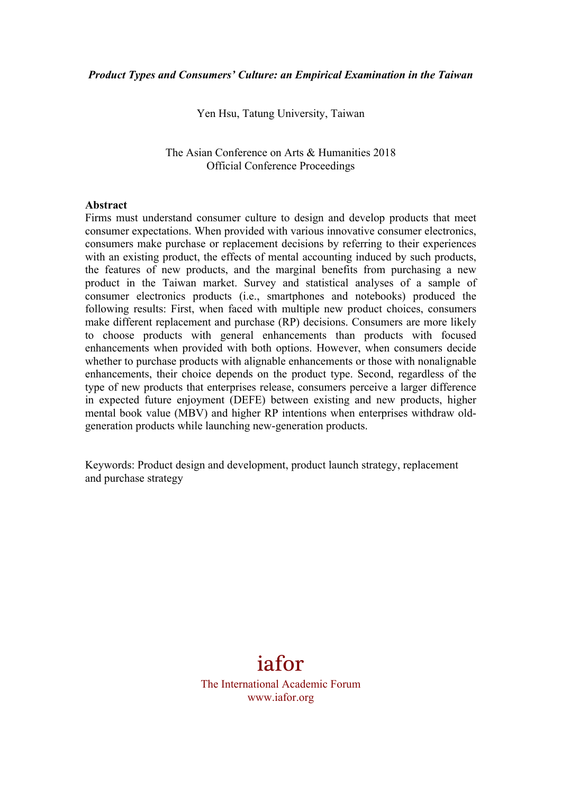Yen Hsu, Tatung University, Taiwan

The Asian Conference on Arts & Humanities 2018 Official Conference Proceedings

#### **Abstract**

Firms must understand consumer culture to design and develop products that meet consumer expectations. When provided with various innovative consumer electronics, consumers make purchase or replacement decisions by referring to their experiences with an existing product, the effects of mental accounting induced by such products, the features of new products, and the marginal benefits from purchasing a new product in the Taiwan market. Survey and statistical analyses of a sample of consumer electronics products (i.e., smartphones and notebooks) produced the following results: First, when faced with multiple new product choices, consumers make different replacement and purchase (RP) decisions. Consumers are more likely to choose products with general enhancements than products with focused enhancements when provided with both options. However, when consumers decide whether to purchase products with alignable enhancements or those with nonalignable enhancements, their choice depends on the product type. Second, regardless of the type of new products that enterprises release, consumers perceive a larger difference in expected future enjoyment (DEFE) between existing and new products, higher mental book value (MBV) and higher RP intentions when enterprises withdraw oldgeneration products while launching new-generation products.

Keywords: Product design and development, product launch strategy, replacement and purchase strategy

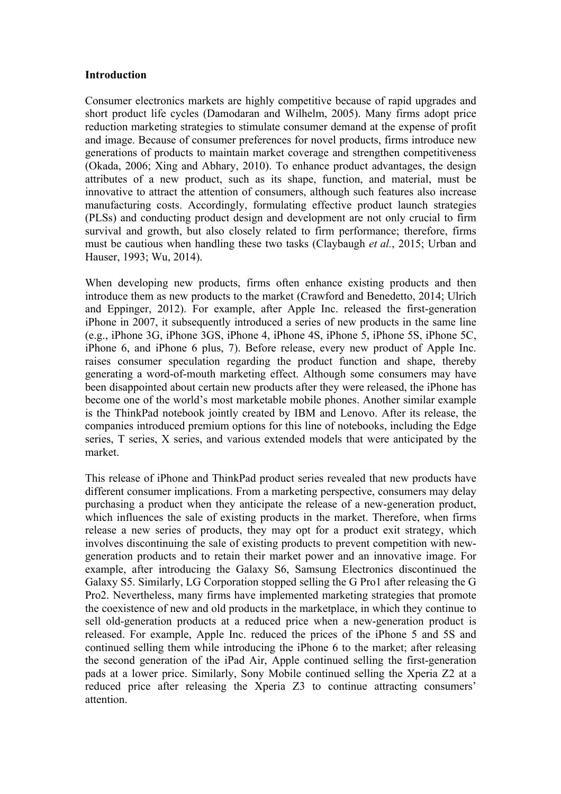#### **Introduction**

Consumer electronics markets are highly competitive because of rapid upgrades and short product life cycles (Damodaran and Wilhelm, 2005). Many firms adopt price reduction marketing strategies to stimulate consumer demand at the expense of profit and image. Because of consumer preferences for novel products, firms introduce new generations of products to maintain market coverage and strengthen competitiveness (Okada, 2006; Xing and Abhary, 2010). To enhance product advantages, the design attributes of a new product, such as its shape, function, and material, must be innovative to attract the attention of consumers, although such features also increase manufacturing costs. Accordingly, formulating effective product launch strategies (PLSs) and conducting product design and development are not only crucial to firm survival and growth, but also closely related to firm performance; therefore, firms must be cautious when handling these two tasks (Claybaugh *et al.*, 2015; Urban and Hauser, 1993; Wu, 2014).

When developing new products, firms often enhance existing products and then introduce them as new products to the market (Crawford and Benedetto, 2014; Ulrich and Eppinger, 2012). For example, after Apple Inc. released the first-generation iPhone in 2007, it subsequently introduced a series of new products in the same line (e.g., iPhone 3G, iPhone 3GS, iPhone 4, iPhone 4S, iPhone 5, iPhone 5S, iPhone 5C, iPhone 6, and iPhone 6 plus, 7). Before release, every new product of Apple Inc. raises consumer speculation regarding the product function and shape, thereby generating a word-of-mouth marketing effect. Although some consumers may have been disappointed about certain new products after they were released, the iPhone has become one of the world's most marketable mobile phones. Another similar example is the ThinkPad notebook jointly created by IBM and Lenovo. After its release, the companies introduced premium options for this line of notebooks, including the Edge series, T series, X series, and various extended models that were anticipated by the market.

This release of iPhone and ThinkPad product series revealed that new products have different consumer implications. From a marketing perspective, consumers may delay purchasing a product when they anticipate the release of a new-generation product, which influences the sale of existing products in the market. Therefore, when firms release a new series of products, they may opt for a product exit strategy, which involves discontinuing the sale of existing products to prevent competition with newgeneration products and to retain their market power and an innovative image. For example, after introducing the Galaxy S6, Samsung Electronics discontinued the Galaxy S5. Similarly, LG Corporation stopped selling the G Pro1 after releasing the G Pro2. Nevertheless, many firms have implemented marketing strategies that promote the coexistence of new and old products in the marketplace, in which they continue to sell old-generation products at a reduced price when a new-generation product is released. For example, Apple Inc. reduced the prices of the iPhone 5 and 5S and continued selling them while introducing the iPhone 6 to the market; after releasing the second generation of the iPad Air, Apple continued selling the first-generation pads at a lower price. Similarly, Sony Mobile continued selling the Xperia Z2 at a reduced price after releasing the Xperia Z3 to continue attracting consumers' attention.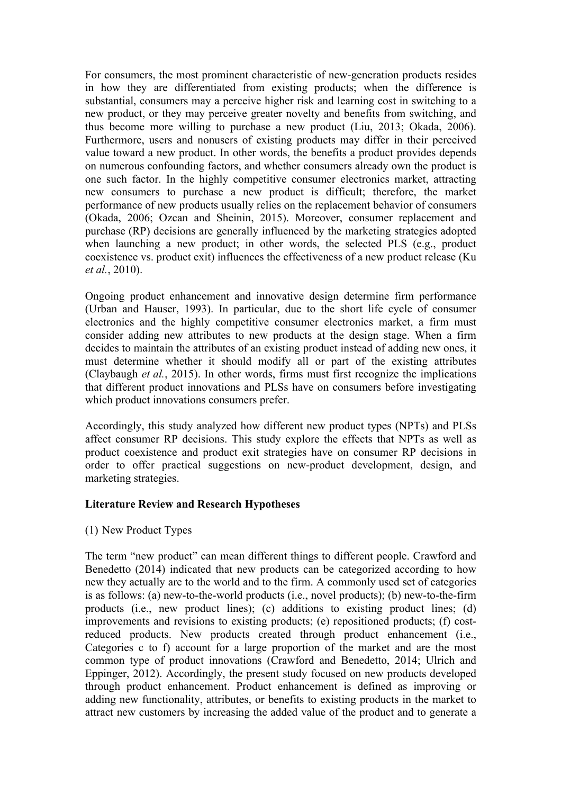For consumers, the most prominent characteristic of new-generation products resides in how they are differentiated from existing products; when the difference is substantial, consumers may a perceive higher risk and learning cost in switching to a new product, or they may perceive greater novelty and benefits from switching, and thus become more willing to purchase a new product (Liu, 2013; Okada, 2006). Furthermore, users and nonusers of existing products may differ in their perceived value toward a new product. In other words, the benefits a product provides depends on numerous confounding factors, and whether consumers already own the product is one such factor. In the highly competitive consumer electronics market, attracting new consumers to purchase a new product is difficult; therefore, the market performance of new products usually relies on the replacement behavior of consumers (Okada, 2006; Ozcan and Sheinin, 2015). Moreover, consumer replacement and purchase (RP) decisions are generally influenced by the marketing strategies adopted when launching a new product; in other words, the selected PLS (e.g., product coexistence vs. product exit) influences the effectiveness of a new product release (Ku *et al.*, 2010).

Ongoing product enhancement and innovative design determine firm performance (Urban and Hauser, 1993). In particular, due to the short life cycle of consumer electronics and the highly competitive consumer electronics market, a firm must consider adding new attributes to new products at the design stage. When a firm decides to maintain the attributes of an existing product instead of adding new ones, it must determine whether it should modify all or part of the existing attributes (Claybaugh *et al.*, 2015). In other words, firms must first recognize the implications that different product innovations and PLSs have on consumers before investigating which product innovations consumers prefer.

Accordingly, this study analyzed how different new product types (NPTs) and PLSs affect consumer RP decisions. This study explore the effects that NPTs as well as product coexistence and product exit strategies have on consumer RP decisions in order to offer practical suggestions on new-product development, design, and marketing strategies.

## **Literature Review and Research Hypotheses**

(1) New Product Types

The term "new product" can mean different things to different people. Crawford and Benedetto (2014) indicated that new products can be categorized according to how new they actually are to the world and to the firm. A commonly used set of categories is as follows: (a) new-to-the-world products (i.e., novel products); (b) new-to-the-firm products (i.e., new product lines); (c) additions to existing product lines; (d) improvements and revisions to existing products; (e) repositioned products; (f) costreduced products. New products created through product enhancement (i.e., Categories c to f) account for a large proportion of the market and are the most common type of product innovations (Crawford and Benedetto, 2014; Ulrich and Eppinger, 2012). Accordingly, the present study focused on new products developed through product enhancement. Product enhancement is defined as improving or adding new functionality, attributes, or benefits to existing products in the market to attract new customers by increasing the added value of the product and to generate a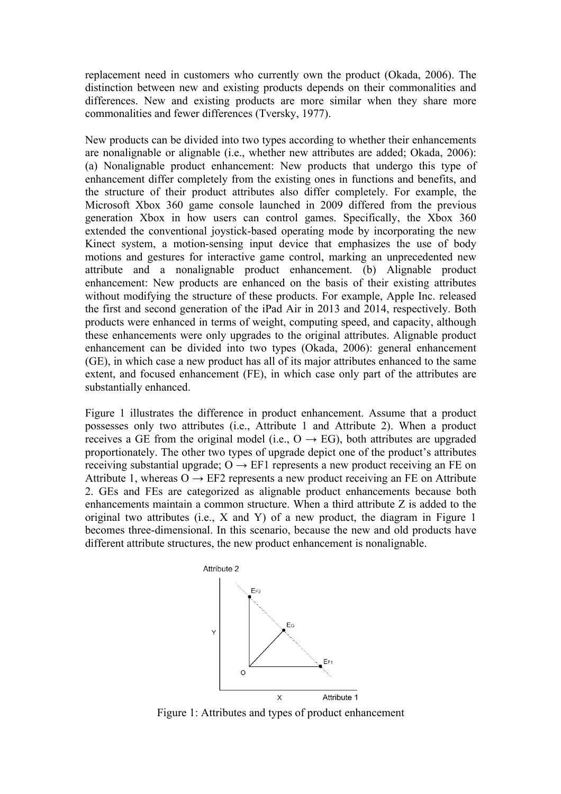replacement need in customers who currently own the product (Okada, 2006). The distinction between new and existing products depends on their commonalities and differences. New and existing products are more similar when they share more commonalities and fewer differences (Tversky, 1977).

New products can be divided into two types according to whether their enhancements are nonalignable or alignable (i.e., whether new attributes are added; Okada, 2006): (a) Nonalignable product enhancement: New products that undergo this type of enhancement differ completely from the existing ones in functions and benefits, and the structure of their product attributes also differ completely. For example, the Microsoft Xbox 360 game console launched in 2009 differed from the previous generation Xbox in how users can control games. Specifically, the Xbox 360 extended the conventional joystick-based operating mode by incorporating the new Kinect system, a motion-sensing input device that emphasizes the use of body motions and gestures for interactive game control, marking an unprecedented new attribute and a nonalignable product enhancement. (b) Alignable product enhancement: New products are enhanced on the basis of their existing attributes without modifying the structure of these products. For example, Apple Inc. released the first and second generation of the iPad Air in 2013 and 2014, respectively. Both products were enhanced in terms of weight, computing speed, and capacity, although these enhancements were only upgrades to the original attributes. Alignable product enhancement can be divided into two types (Okada, 2006): general enhancement (GE), in which case a new product has all of its major attributes enhanced to the same extent, and focused enhancement (FE), in which case only part of the attributes are substantially enhanced.

Figure 1 illustrates the difference in product enhancement. Assume that a product possesses only two attributes (i.e., Attribute 1 and Attribute 2). When a product receives a GE from the original model (i.e.,  $O \rightarrow EG$ ), both attributes are upgraded proportionately. The other two types of upgrade depict one of the product's attributes receiving substantial upgrade;  $O \rightarrow$  EF1 represents a new product receiving an FE on Attribute 1, whereas  $O \rightarrow EF2$  represents a new product receiving an FE on Attribute 2. GEs and FEs are categorized as alignable product enhancements because both enhancements maintain a common structure. When a third attribute Z is added to the original two attributes (i.e., X and Y) of a new product, the diagram in Figure 1 becomes three-dimensional. In this scenario, because the new and old products have different attribute structures, the new product enhancement is nonalignable.



Figure 1: Attributes and types of product enhancement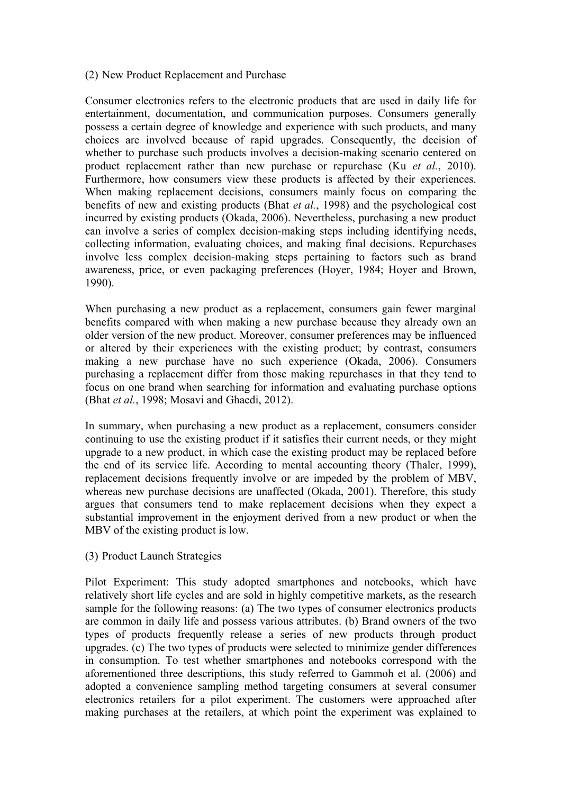# (2) New Product Replacement and Purchase

Consumer electronics refers to the electronic products that are used in daily life for entertainment, documentation, and communication purposes. Consumers generally possess a certain degree of knowledge and experience with such products, and many choices are involved because of rapid upgrades. Consequently, the decision of whether to purchase such products involves a decision-making scenario centered on product replacement rather than new purchase or repurchase (Ku *et al.*, 2010). Furthermore, how consumers view these products is affected by their experiences. When making replacement decisions, consumers mainly focus on comparing the benefits of new and existing products (Bhat *et al.*, 1998) and the psychological cost incurred by existing products (Okada, 2006). Nevertheless, purchasing a new product can involve a series of complex decision-making steps including identifying needs, collecting information, evaluating choices, and making final decisions. Repurchases involve less complex decision-making steps pertaining to factors such as brand awareness, price, or even packaging preferences (Hoyer, 1984; Hoyer and Brown, 1990).

When purchasing a new product as a replacement, consumers gain fewer marginal benefits compared with when making a new purchase because they already own an older version of the new product. Moreover, consumer preferences may be influenced or altered by their experiences with the existing product; by contrast, consumers making a new purchase have no such experience (Okada, 2006). Consumers purchasing a replacement differ from those making repurchases in that they tend to focus on one brand when searching for information and evaluating purchase options (Bhat *et al.*, 1998; Mosavi and Ghaedi, 2012).

In summary, when purchasing a new product as a replacement, consumers consider continuing to use the existing product if it satisfies their current needs, or they might upgrade to a new product, in which case the existing product may be replaced before the end of its service life. According to mental accounting theory (Thaler, 1999), replacement decisions frequently involve or are impeded by the problem of MBV, whereas new purchase decisions are unaffected (Okada, 2001). Therefore, this study argues that consumers tend to make replacement decisions when they expect a substantial improvement in the enjoyment derived from a new product or when the MBV of the existing product is low.

## (3) Product Launch Strategies

Pilot Experiment: This study adopted smartphones and notebooks, which have relatively short life cycles and are sold in highly competitive markets, as the research sample for the following reasons: (a) The two types of consumer electronics products are common in daily life and possess various attributes. (b) Brand owners of the two types of products frequently release a series of new products through product upgrades. (c) The two types of products were selected to minimize gender differences in consumption. To test whether smartphones and notebooks correspond with the aforementioned three descriptions, this study referred to Gammoh et al. (2006) and adopted a convenience sampling method targeting consumers at several consumer electronics retailers for a pilot experiment. The customers were approached after making purchases at the retailers, at which point the experiment was explained to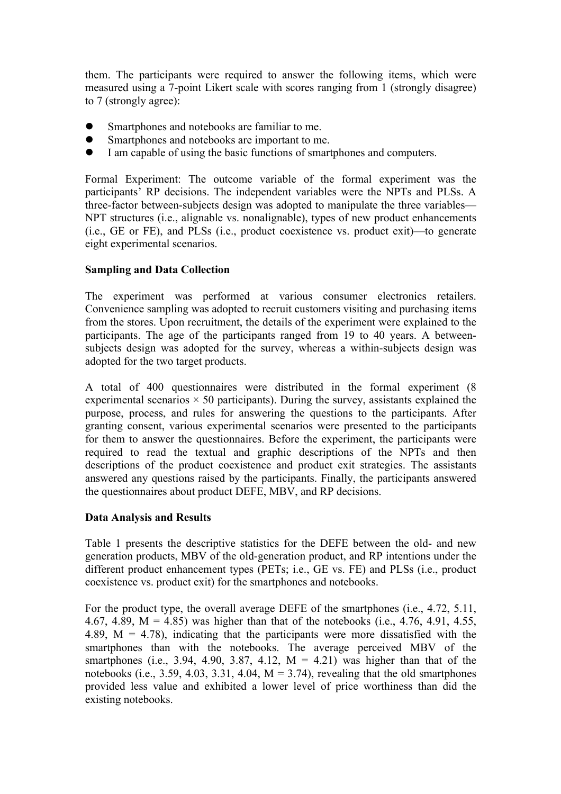them. The participants were required to answer the following items, which were measured using a 7-point Likert scale with scores ranging from 1 (strongly disagree) to 7 (strongly agree):

- l Smartphones and notebooks are familiar to me.
- l Smartphones and notebooks are important to me.
- l I am capable of using the basic functions of smartphones and computers.

Formal Experiment: The outcome variable of the formal experiment was the participants' RP decisions. The independent variables were the NPTs and PLSs. A three-factor between-subjects design was adopted to manipulate the three variables— NPT structures (i.e., alignable vs. nonalignable), types of new product enhancements (i.e., GE or FE), and PLSs (i.e., product coexistence vs. product exit)—to generate eight experimental scenarios.

# **Sampling and Data Collection**

The experiment was performed at various consumer electronics retailers. Convenience sampling was adopted to recruit customers visiting and purchasing items from the stores. Upon recruitment, the details of the experiment were explained to the participants. The age of the participants ranged from 19 to 40 years. A betweensubjects design was adopted for the survey, whereas a within-subjects design was adopted for the two target products.

A total of 400 questionnaires were distributed in the formal experiment (8 experimental scenarios  $\times$  50 participants). During the survey, assistants explained the purpose, process, and rules for answering the questions to the participants. After granting consent, various experimental scenarios were presented to the participants for them to answer the questionnaires. Before the experiment, the participants were required to read the textual and graphic descriptions of the NPTs and then descriptions of the product coexistence and product exit strategies. The assistants answered any questions raised by the participants. Finally, the participants answered the questionnaires about product DEFE, MBV, and RP decisions.

## **Data Analysis and Results**

Table 1 presents the descriptive statistics for the DEFE between the old- and new generation products, MBV of the old-generation product, and RP intentions under the different product enhancement types (PETs; i.e., GE vs. FE) and PLSs (i.e., product coexistence vs. product exit) for the smartphones and notebooks.

For the product type, the overall average DEFE of the smartphones (i.e., 4.72, 5.11, 4.67, 4.89,  $M = 4.85$ ) was higher than that of the notebooks (i.e., 4.76, 4.91, 4.55, 4.89,  $M = 4.78$ ), indicating that the participants were more dissatisfied with the smartphones than with the notebooks. The average perceived MBV of the smartphones (i.e., 3.94, 4.90, 3.87, 4.12,  $M = 4.21$ ) was higher than that of the notebooks (i.e., 3.59, 4.03, 3.31, 4.04,  $M = 3.74$ ), revealing that the old smartphones provided less value and exhibited a lower level of price worthiness than did the existing notebooks.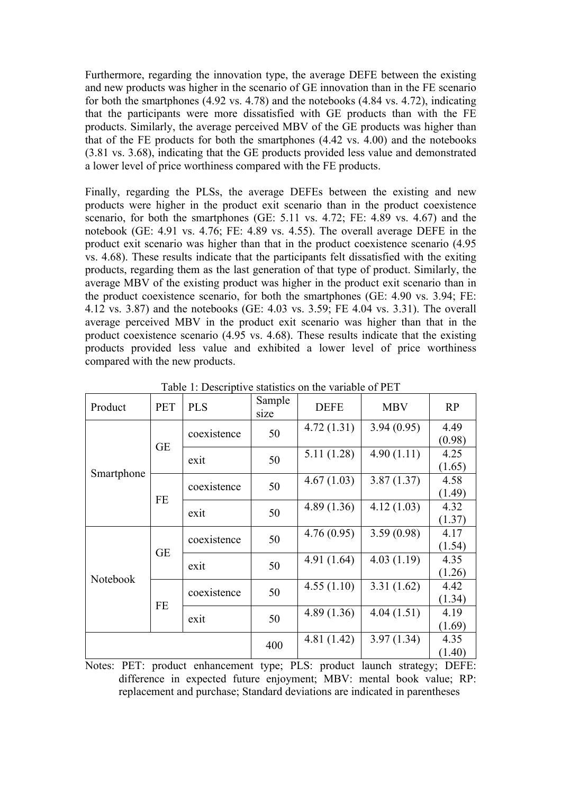Furthermore, regarding the innovation type, the average DEFE between the existing and new products was higher in the scenario of GE innovation than in the FE scenario for both the smartphones (4.92 vs. 4.78) and the notebooks (4.84 vs. 4.72), indicating that the participants were more dissatisfied with GE products than with the FE products. Similarly, the average perceived MBV of the GE products was higher than that of the FE products for both the smartphones (4.42 vs. 4.00) and the notebooks (3.81 vs. 3.68), indicating that the GE products provided less value and demonstrated a lower level of price worthiness compared with the FE products.

Finally, regarding the PLSs, the average DEFEs between the existing and new products were higher in the product exit scenario than in the product coexistence scenario, for both the smartphones (GE: 5.11 vs. 4.72; FE: 4.89 vs. 4.67) and the notebook (GE: 4.91 vs. 4.76; FE: 4.89 vs. 4.55). The overall average DEFE in the product exit scenario was higher than that in the product coexistence scenario (4.95 vs. 4.68). These results indicate that the participants felt dissatisfied with the exiting products, regarding them as the last generation of that type of product. Similarly, the average MBV of the existing product was higher in the product exit scenario than in the product coexistence scenario, for both the smartphones (GE: 4.90 vs. 3.94; FE: 4.12 vs. 3.87) and the notebooks (GE: 4.03 vs. 3.59; FE 4.04 vs. 3.31). The overall average perceived MBV in the product exit scenario was higher than that in the product coexistence scenario (4.95 vs. 4.68). These results indicate that the existing products provided less value and exhibited a lower level of price worthiness compared with the new products.

| Product    | <b>PET</b> | <b>PLS</b>  | Sample<br>size | <b>DEFE</b> | <b>MBV</b> | RP             |
|------------|------------|-------------|----------------|-------------|------------|----------------|
| Smartphone | <b>GE</b>  | coexistence | 50             | 4.72(1.31)  | 3.94(0.95) | 4.49<br>(0.98) |
|            |            | exit        | 50             | 5.11(1.28)  | 4.90(1.11) | 4.25<br>(1.65) |
|            | FE         | coexistence | 50             | 4.67(1.03)  | 3.87(1.37) | 4.58<br>(1.49) |
|            |            | exit        | 50             | 4.89(1.36)  | 4.12(1.03) | 4.32<br>(1.37) |
| Notebook   | <b>GE</b>  | coexistence | 50             | 4.76(0.95)  | 3.59(0.98) | 4.17<br>(1.54) |
|            |            | exit        | 50             | 4.91(1.64)  | 4.03(1.19) | 4.35<br>(1.26) |
|            | <b>FE</b>  | coexistence | 50             | 4.55(1.10)  | 3.31(1.62) | 4.42<br>(1.34) |
|            |            | exit        | 50             | 4.89(1.36)  | 4.04(1.51) | 4.19<br>(1.69) |
|            |            |             | 400            | 4.81 (1.42) | 3.97(1.34) | 4.35<br>(1.40) |

Table 1: Descriptive statistics on the variable of PET

Notes: PET: product enhancement type; PLS: product launch strategy; DEFE: difference in expected future enjoyment; MBV: mental book value; RP: replacement and purchase; Standard deviations are indicated in parentheses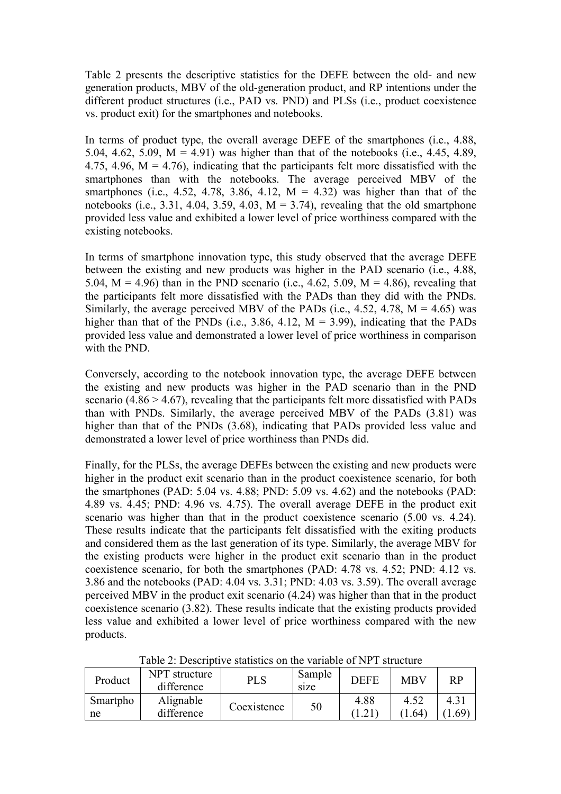Table 2 presents the descriptive statistics for the DEFE between the old- and new generation products, MBV of the old-generation product, and RP intentions under the different product structures (i.e., PAD vs. PND) and PLSs (i.e., product coexistence vs. product exit) for the smartphones and notebooks.

In terms of product type, the overall average DEFE of the smartphones (i.e., 4.88, 5.04, 4.62, 5.09,  $M = 4.91$ ) was higher than that of the notebooks (i.e., 4.45, 4.89, 4.75, 4.96,  $M = 4.76$ ), indicating that the participants felt more dissatisfied with the smartphones than with the notebooks. The average perceived MBV of the smartphones (i.e., 4.52, 4.78, 3.86, 4.12,  $M = 4.32$ ) was higher than that of the notebooks (i.e., 3.31, 4.04, 3.59, 4.03,  $M = 3.74$ ), revealing that the old smartphone provided less value and exhibited a lower level of price worthiness compared with the existing notebooks.

In terms of smartphone innovation type, this study observed that the average DEFE between the existing and new products was higher in the PAD scenario (i.e., 4.88, 5.04,  $M = 4.96$ ) than in the PND scenario (i.e., 4.62, 5.09,  $M = 4.86$ ), revealing that the participants felt more dissatisfied with the PADs than they did with the PNDs. Similarly, the average perceived MBV of the PADs (i.e., 4.52, 4.78,  $M = 4.65$ ) was higher than that of the PNDs (i.e., 3.86, 4.12,  $M = 3.99$ ), indicating that the PADs provided less value and demonstrated a lower level of price worthiness in comparison with the PND.

Conversely, according to the notebook innovation type, the average DEFE between the existing and new products was higher in the PAD scenario than in the PND scenario  $(4.86 > 4.67)$ , revealing that the participants felt more dissatisfied with PADs than with PNDs. Similarly, the average perceived MBV of the PADs (3.81) was higher than that of the PNDs (3.68), indicating that PADs provided less value and demonstrated a lower level of price worthiness than PNDs did.

Finally, for the PLSs, the average DEFEs between the existing and new products were higher in the product exit scenario than in the product coexistence scenario, for both the smartphones (PAD: 5.04 vs. 4.88; PND: 5.09 vs. 4.62) and the notebooks (PAD: 4.89 vs. 4.45; PND: 4.96 vs. 4.75). The overall average DEFE in the product exit scenario was higher than that in the product coexistence scenario (5.00 vs. 4.24). These results indicate that the participants felt dissatisfied with the exiting products and considered them as the last generation of its type. Similarly, the average MBV for the existing products were higher in the product exit scenario than in the product coexistence scenario, for both the smartphones (PAD: 4.78 vs. 4.52; PND: 4.12 vs. 3.86 and the notebooks (PAD: 4.04 vs. 3.31; PND: 4.03 vs. 3.59). The overall average perceived MBV in the product exit scenario (4.24) was higher than that in the product coexistence scenario (3.82). These results indicate that the existing products provided less value and exhibited a lower level of price worthiness compared with the new products.

| Product        | NPT structure<br>difference | PLS         | Sample<br>size | DEFE | <b>MBV</b> | RP         |
|----------------|-----------------------------|-------------|----------------|------|------------|------------|
| Smartpho<br>ne | Alignable<br>difference     | Coexistence | 50             | 4.88 | 1 64       | 4.31<br>69 |
|                |                             |             |                |      |            |            |

Table 2: Descriptive statistics on the variable of NPT structure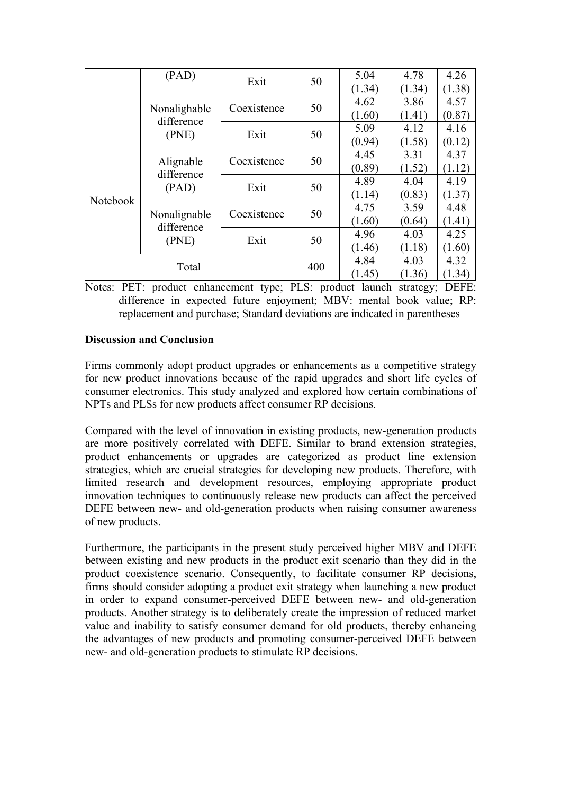|          | (PAD)                               | Exit        | 50  | 5.04   | 4.78   | 4.26   |
|----------|-------------------------------------|-------------|-----|--------|--------|--------|
|          |                                     |             |     | (1.34) | (1.34) | (1.38) |
|          | Nonalighable<br>difference<br>(PNE) | Coexistence | 50  | 4.62   | 3.86   | 4.57   |
|          |                                     |             |     | (1.60) | (1.41) | (0.87) |
|          |                                     | Exit        | 50  | 5.09   | 4.12   | 4.16   |
|          |                                     |             |     | (0.94) | (1.58) | (0.12) |
| Notebook | Alignable<br>difference<br>(PAD)    | Coexistence | 50  | 4.45   | 3.31   | 4.37   |
|          |                                     |             |     | (0.89) | (1.52) | (1.12) |
|          |                                     | Exit        | 50  | 4.89   | 4.04   | 4.19   |
|          |                                     |             |     | (1.14) | (0.83) | (1.37) |
|          | Nonalignable<br>difference          | Coexistence | 50  | 4.75   | 3.59   | 4.48   |
|          |                                     |             |     | (1.60) | (0.64) | (1.41) |
|          |                                     | Exit        | 50  | 4.96   | 4.03   | 4.25   |
|          | (PNE)                               |             |     | (1.46) | (1.18) | (1.60) |
| Total    |                                     |             | 400 | 4.84   | 4.03   | 4.32   |
|          |                                     |             |     | (1.45) | (1.36) | (1.34) |

Notes: PET: product enhancement type; PLS: product launch strategy; DEFE: difference in expected future enjoyment; MBV: mental book value; RP: replacement and purchase; Standard deviations are indicated in parentheses

# **Discussion and Conclusion**

Firms commonly adopt product upgrades or enhancements as a competitive strategy for new product innovations because of the rapid upgrades and short life cycles of consumer electronics. This study analyzed and explored how certain combinations of NPTs and PLSs for new products affect consumer RP decisions.

Compared with the level of innovation in existing products, new-generation products are more positively correlated with DEFE. Similar to brand extension strategies, product enhancements or upgrades are categorized as product line extension strategies, which are crucial strategies for developing new products. Therefore, with limited research and development resources, employing appropriate product innovation techniques to continuously release new products can affect the perceived DEFE between new- and old-generation products when raising consumer awareness of new products.

Furthermore, the participants in the present study perceived higher MBV and DEFE between existing and new products in the product exit scenario than they did in the product coexistence scenario. Consequently, to facilitate consumer RP decisions, firms should consider adopting a product exit strategy when launching a new product in order to expand consumer-perceived DEFE between new- and old-generation products. Another strategy is to deliberately create the impression of reduced market value and inability to satisfy consumer demand for old products, thereby enhancing the advantages of new products and promoting consumer-perceived DEFE between new- and old-generation products to stimulate RP decisions.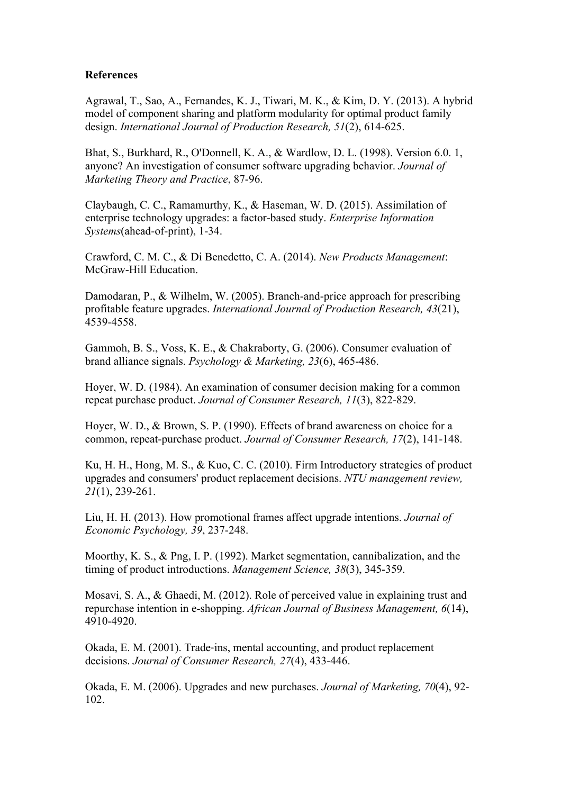# **References**

Agrawal, T., Sao, A., Fernandes, K. J., Tiwari, M. K., & Kim, D. Y. (2013). A hybrid model of component sharing and platform modularity for optimal product family design. *International Journal of Production Research, 51*(2), 614-625.

Bhat, S., Burkhard, R., O'Donnell, K. A., & Wardlow, D. L. (1998). Version 6.0. 1, anyone? An investigation of consumer software upgrading behavior. *Journal of Marketing Theory and Practice*, 87-96.

Claybaugh, C. C., Ramamurthy, K., & Haseman, W. D. (2015). Assimilation of enterprise technology upgrades: a factor-based study. *Enterprise Information Systems*(ahead-of-print), 1-34.

Crawford, C. M. C., & Di Benedetto, C. A. (2014). *New Products Management*: McGraw-Hill Education.

Damodaran, P., & Wilhelm, W. (2005). Branch-and-price approach for prescribing profitable feature upgrades. *International Journal of Production Research, 43*(21), 4539-4558.

Gammoh, B. S., Voss, K. E., & Chakraborty, G. (2006). Consumer evaluation of brand alliance signals. *Psychology & Marketing, 23*(6), 465-486.

Hoyer, W. D. (1984). An examination of consumer decision making for a common repeat purchase product. *Journal of Consumer Research, 11*(3), 822-829.

Hoyer, W. D., & Brown, S. P. (1990). Effects of brand awareness on choice for a common, repeat-purchase product. *Journal of Consumer Research, 17*(2), 141-148.

Ku, H. H., Hong, M. S., & Kuo, C. C. (2010). Firm Introductory strategies of product upgrades and consumers' product replacement decisions. *NTU management review, 21*(1), 239-261.

Liu, H. H. (2013). How promotional frames affect upgrade intentions. *Journal of Economic Psychology, 39*, 237-248.

Moorthy, K. S., & Png, I. P. (1992). Market segmentation, cannibalization, and the timing of product introductions. *Management Science, 38*(3), 345-359.

Mosavi, S. A., & Ghaedi, M. (2012). Role of perceived value in explaining trust and repurchase intention in e-shopping. *African Journal of Business Management, 6*(14), 4910-4920.

Okada, E. M. (2001). Trade‐ins, mental accounting, and product replacement decisions. *Journal of Consumer Research, 27*(4), 433-446.

Okada, E. M. (2006). Upgrades and new purchases. *Journal of Marketing, 70*(4), 92- 102.